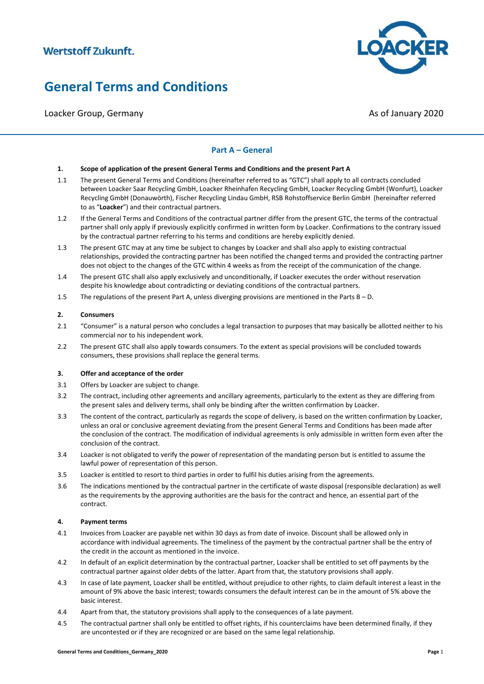Loacker Group, Germany Associated and Loacker Group, Associated and Associated Associated Associated Associated Associated Associated Associated Associated Associated Associated Associated Associated Associated Associated



### **Part A – General**

#### **1. Scope of application of the present General Terms and Conditions and the present Part A**

- 1.1 The present General Terms and Conditions (hereinafter referred to as "GTC") shall apply to all contracts concluded between Loacker Saar Recycling GmbH, Loacker Rheinhafen Recycling GmbH, Loacker Recycling GmbH (Wonfurt), Loacker Recycling GmbH (Donauwörth), Fischer Recycling Lindau GmbH, RSB Rohstoffservice Berlin GmbH (hereinafter referred to as "**Loacker**") and their contractual partners.
- 1.2 If the General Terms and Conditions of the contractual partner differ from the present GTC, the terms of the contractual partner shall only apply if previously explicitly confirmed in written form by Loacker. Confirmations to the contrary issued by the contractual partner referring to his terms and conditions are hereby explicitly denied.
- 1.3 The present GTC may at any time be subject to changes by Loacker and shall also apply to existing contractual relationships, provided the contracting partner has been notified the changed terms and provided the contracting partner does not object to the changes of the GTC within 4 weeks as from the receipt of the communication of the change.
- 1.4 The present GTC shall also apply exclusively and unconditionally, if Loacker executes the order without reservation despite his knowledge about contradicting or deviating conditions of the contractual partners.
- 1.5 The regulations of the present Part A, unless diverging provisions are mentioned in the Parts B D.

#### **2. Consumers**

- 2.1 "Consumer" is a natural person who concludes a legal transaction to purposes that may basically be allotted neither to his commercial nor to his independent work.
- 2.2 The present GTC shall also apply towards consumers. To the extent as special provisions will be concluded towards consumers, these provisions shall replace the general terms.

#### **3. Offer and acceptance of the order**

- 3.1 Offers by Loacker are subject to change.
- 3.2 The contract, including other agreements and ancillary agreements, particularly to the extent as they are differing from the present sales and delivery terms, shall only be binding after the written confirmation by Loacker.
- 3.3 The content of the contract, particularly as regards the scope of delivery, is based on the written confirmation by Loacker, unless an oral or conclusive agreement deviating from the present General Terms and Conditions has been made after the conclusion of the contract. The modification of individual agreements is only admissible in written form even after the conclusion of the contract.
- 3.4 Loacker is not obligated to verify the power of representation of the mandating person but is entitled to assume the lawful power of representation of this person.
- 3.5 Loacker is entitled to resort to third parties in order to fulfil his duties arising from the agreements.
- 3.6 The indications mentioned by the contractual partner in the certificate of waste disposal (responsible declaration) as well as the requirements by the approving authorities are the basis for the contract and hence, an essential part of the contract.

#### **4. Payment terms**

- 4.1 Invoices from Loacker are payable net within 30 days as from date of invoice. Discount shall be allowed only in accordance with individual agreements. The timeliness of the payment by the contractual partner shall be the entry of the credit in the account as mentioned in the invoice.
- 4.2 In default of an explicit determination by the contractual partner, Loacker shall be entitled to set off payments by the contractual partner against older debts of the latter. Apart from that, the statutory provisions shall apply.
- 4.3 In case of late payment, Loacker shall be entitled, without prejudice to other rights, to claim default interest a least in the amount of 9% above the basic interest; towards consumers the default interest can be in the amount of 5% above the basic interest.
- 4.4 Apart from that, the statutory provisions shall apply to the consequences of a late payment.
- 4.5 The contractual partner shall only be entitled to offset rights, if his counterclaims have been determined finally, if they are uncontested or if they are recognized or are based on the same legal relationship.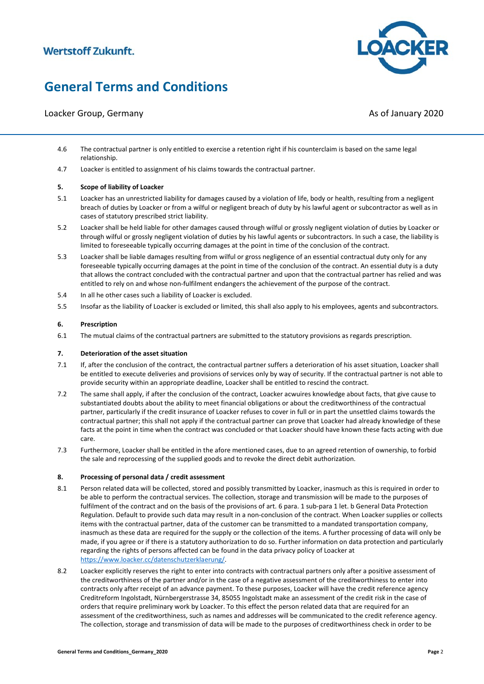### Loacker Group, Germany Associated and Loacker Group, Associated and Associated Associated Associated Associated Associated Associated Associated Associated Associated Associated Associated Associated Associated Associated



- 4.6 The contractual partner is only entitled to exercise a retention right if his counterclaim is based on the same legal relationship.
- 4.7 Loacker is entitled to assignment of his claims towards the contractual partner.

#### **5. Scope of liability of Loacker**

- 5.1 Loacker has an unrestricted liability for damages caused by a violation of life, body or health, resulting from a negligent breach of duties by Loacker or from a wilful or negligent breach of duty by his lawful agent or subcontractor as well as in cases of statutory prescribed strict liability.
- 5.2 Loacker shall be held liable for other damages caused through wilful or grossly negligent violation of duties by Loacker or through wilful or grossly negligent violation of duties by his lawful agents or subcontractors. In such a case, the liability is limited to foreseeable typically occurring damages at the point in time of the conclusion of the contract.
- 5.3 Loacker shall be liable damages resulting from wilful or gross negligence of an essential contractual duty only for any foreseeable typically occurring damages at the point in time of the conclusion of the contract. An essential duty is a duty that allows the contract concluded with the contractual partner and upon that the contractual partner has relied and was entitled to rely on and whose non-fulfilment endangers the achievement of the purpose of the contract.
- 5.4 In all he other cases such a liability of Loacker is excluded.
- 5.5 Insofar as the liability of Loacker is excluded or limited, this shall also apply to his employees, agents and subcontractors.

#### **6. Prescription**

6.1 The mutual claims of the contractual partners are submitted to the statutory provisions as regards prescription.

#### **7. Deterioration of the asset situation**

- 7.1 If, after the conclusion of the contract, the contractual partner suffers a deterioration of his asset situation, Loacker shall be entitled to execute deliveries and provisions of services only by way of security. If the contractual partner is not able to provide security within an appropriate deadline, Loacker shall be entitled to rescind the contract.
- 7.2 The same shall apply, if after the conclusion of the contract, Loacker acwuires knowledge about facts, that give cause to substantiated doubts about the ability to meet financial obligations or about the creditworthiness of the contractual partner, particularly if the credit insurance of Loacker refuses to cover in full or in part the unsettled claims towards the contractual partner; this shall not apply if the contractual partner can prove that Loacker had already knowledge of these facts at the point in time when the contract was concluded or that Loacker should have known these facts acting with due care.
- 7.3 Furthermore, Loacker shall be entitled in the afore mentioned cases, due to an agreed retention of ownership, to forbid the sale and reprocessing of the supplied goods and to revoke the direct debit authorization.

#### **8. Processing of personal data / credit assessment**

- 8.1 Person related data will be collected, stored and possibly transmitted by Loacker, inasmuch as this is required in order to be able to perform the contractual services. The collection, storage and transmission will be made to the purposes of fulfilment of the contract and on the basis of the provisions of art. 6 para. 1 sub-para 1 let. b General Data Protection Regulation. Default to provide such data may result in a non-conclusion of the contract. When Loacker supplies or collects items with the contractual partner, data of the customer can be transmitted to a mandated transportation company, inasmuch as these data are required for the supply or the collection of the items. A further processing of data will only be made, if you agree or if there is a statutory authorization to do so. Further information on data protection and particularly regarding the rights of persons affected can be found in the data privacy policy of Loacker at [https://www.loacker.cc/datenschutzerklaerung/.](https://www.loacker.cc/datenschutzerklaerung/)
- 8.2 Loacker explicitly reserves the right to enter into contracts with contractual partners only after a positive assessment of the creditworthiness of the partner and/or in the case of a negative assessment of the creditworthiness to enter into contracts only after receipt of an advance payment. To these purposes, Loacker will have the credit reference agency Creditreform Ingolstadt, Nürnbergerstrasse 34, 85055 Ingolstadt make an assessment of the credit risk in the case of orders that require preliminary work by Loacker. To this effect the person related data that are required for an assessment of the creditworthiness, such as names and addresses will be communicated to the credit reference agency. The collection, storage and transmission of data will be made to the purposes of creditworthiness check in order to be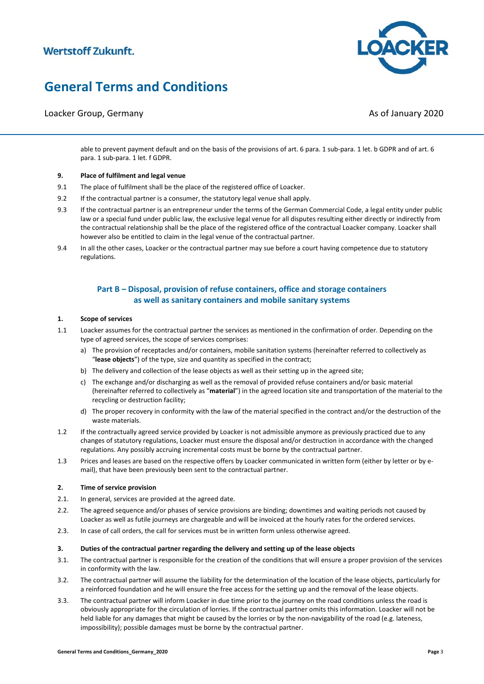# **General Terms and Conditions**

### Loacker Group, Germany Associated and Loacker Group, Associated and Associated Associated Associated Associated Associated Associated Associated Associated Associated Associated Associated Associated Associated Associated

**CKER** 

able to prevent payment default and on the basis of the provisions of art. 6 para. 1 sub-para. 1 let. b GDPR and of art. 6 para. 1 sub-para. 1 let. f GDPR.

#### **9. Place of fulfilment and legal venue**

- 9.1 The place of fulfilment shall be the place of the registered office of Loacker.
- 9.2 If the contractual partner is a consumer, the statutory legal venue shall apply.
- 9.3 If the contractual partner is an entrepreneur under the terms of the German Commercial Code, a legal entity under public law or a special fund under public law, the exclusive legal venue for all disputes resulting either directly or indirectly from the contractual relationship shall be the place of the registered office of the contractual Loacker company. Loacker shall however also be entitled to claim in the legal venue of the contractual partner.
- 9.4 In all the other cases, Loacker or the contractual partner may sue before a court having competence due to statutory regulations.

### **Part B – Disposal, provision of refuse containers, office and storage containers as well as sanitary containers and mobile sanitary systems**

#### **1. Scope of services**

- 1.1 Loacker assumes for the contractual partner the services as mentioned in the confirmation of order. Depending on the type of agreed services, the scope of services comprises:
	- a) The provision of receptacles and/or containers, mobile sanitation systems (hereinafter referred to collectively as "**lease objects**") of the type, size and quantity as specified in the contract;
	- b) The delivery and collection of the lease objects as well as their setting up in the agreed site;
	- c) The exchange and/or discharging as well as the removal of provided refuse containers and/or basic material (hereinafter referred to collectively as "**material**") in the agreed location site and transportation of the material to the recycling or destruction facility;
	- d) The proper recovery in conformity with the law of the material specified in the contract and/or the destruction of the waste materials.
- 1.2 If the contractually agreed service provided by Loacker is not admissible anymore as previously practiced due to any changes of statutory regulations, Loacker must ensure the disposal and/or destruction in accordance with the changed regulations. Any possibly accruing incremental costs must be borne by the contractual partner.
- 1.3 Prices and leases are based on the respective offers by Loacker communicated in written form (either by letter or by email), that have been previously been sent to the contractual partner.

#### **2. Time of service provision**

- 2.1. In general, services are provided at the agreed date.
- 2.2. The agreed sequence and/or phases of service provisions are binding; downtimes and waiting periods not caused by Loacker as well as futile journeys are chargeable and will be invoiced at the hourly rates for the ordered services.
- 2.3. In case of call orders, the call for services must be in written form unless otherwise agreed.

#### **3. Duties of the contractual partner regarding the delivery and setting up of the lease objects**

- 3.1. The contractual partner is responsible for the creation of the conditions that will ensure a proper provision of the services in conformity with the law.
- 3.2. The contractual partner will assume the liability for the determination of the location of the lease objects, particularly for a reinforced foundation and he will ensure the free access for the setting up and the removal of the lease objects.
- 3.3. The contractual partner will inform Loacker in due time prior to the journey on the road conditions unless the road is obviously appropriate for the circulation of lorries. If the contractual partner omits this information. Loacker will not be held liable for any damages that might be caused by the lorries or by the non-navigability of the road (e.g. lateness, impossibility); possible damages must be borne by the contractual partner.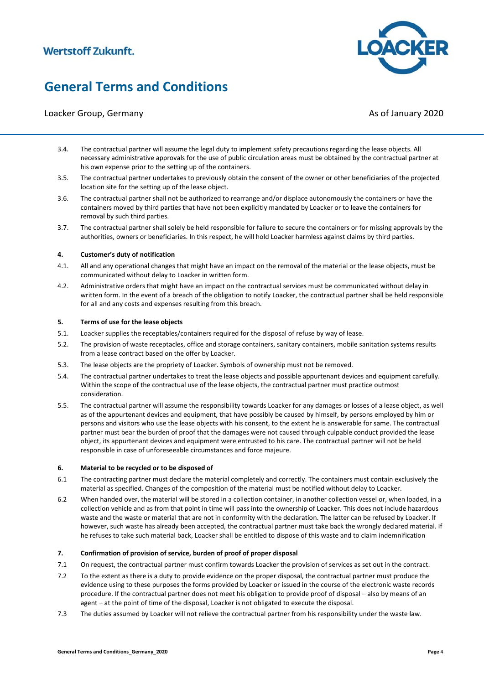# **General Terms and Conditions**

### Loacker Group, Germany Associated and Loacker Group, Associated and Associated Associated Associated Associated Associated Associated Associated Associated Associated Associated Associated Associated Associated Associated

**CKER** 

- 3.4. The contractual partner will assume the legal duty to implement safety precautions regarding the lease objects. All necessary administrative approvals for the use of public circulation areas must be obtained by the contractual partner at his own expense prior to the setting up of the containers.
- 3.5. The contractual partner undertakes to previously obtain the consent of the owner or other beneficiaries of the projected location site for the setting up of the lease object.
- 3.6. The contractual partner shall not be authorized to rearrange and/or displace autonomously the containers or have the containers moved by third parties that have not been explicitly mandated by Loacker or to leave the containers for removal by such third parties.
- 3.7. The contractual partner shall solely be held responsible for failure to secure the containers or for missing approvals by the authorities, owners or beneficiaries. In this respect, he will hold Loacker harmless against claims by third parties.

#### **4. Customer's duty of notification**

- 4.1. All and any operational changes that might have an impact on the removal of the material or the lease objects, must be communicated without delay to Loacker in written form.
- 4.2. Administrative orders that might have an impact on the contractual services must be communicated without delay in written form. In the event of a breach of the obligation to notify Loacker, the contractual partner shall be held responsible for all and any costs and expenses resulting from this breach.

#### **5. Terms of use for the lease objects**

- 5.1. Loacker supplies the receptables/containers required for the disposal of refuse by way of lease.
- 5.2. The provision of waste receptacles, office and storage containers, sanitary containers, mobile sanitation systems results from a lease contract based on the offer by Loacker.
- 5.3. The lease objects are the propriety of Loacker. Symbols of ownership must not be removed.
- 5.4. The contractual partner undertakes to treat the lease objects and possible appurtenant devices and equipment carefully. Within the scope of the contractual use of the lease objects, the contractual partner must practice outmost consideration.
- 5.5. The contractual partner will assume the responsibility towards Loacker for any damages or losses of a lease object, as well as of the appurtenant devices and equipment, that have possibly be caused by himself, by persons employed by him or persons and visitors who use the lease objects with his consent, to the extent he is answerable for same. The contractual partner must bear the burden of proof that the damages were not caused through culpable conduct provided the lease object, its appurtenant devices and equipment were entrusted to his care. The contractual partner will not be held responsible in case of unforeseeable circumstances and force majeure.

#### **6. Material to be recycled or to be disposed of**

- 6.1 The contracting partner must declare the material completely and correctly. The containers must contain exclusively the material as specified. Changes of the composition of the material must be notified without delay to Loacker.
- 6.2 When handed over, the material will be stored in a collection container, in another collection vessel or, when loaded, in a collection vehicle and as from that point in time will pass into the ownership of Loacker. This does not include hazardous waste and the waste or material that are not in conformity with the declaration. The latter can be refused by Loacker. If however, such waste has already been accepted, the contractual partner must take back the wrongly declared material. If he refuses to take such material back, Loacker shall be entitled to dispose of this waste and to claim indemnification

#### **7. Confirmation of provision of service, burden of proof of proper disposal**

- 7.1 On request, the contractual partner must confirm towards Loacker the provision of services as set out in the contract.
- 7.2 To the extent as there is a duty to provide evidence on the proper disposal, the contractual partner must produce the evidence using to these purposes the forms provided by Loacker or issued in the course of the electronic waste records procedure. If the contractual partner does not meet his obligation to provide proof of disposal – also by means of an agent – at the point of time of the disposal, Loacker is not obligated to execute the disposal.
- 7.3 The duties assumed by Loacker will not relieve the contractual partner from his responsibility under the waste law.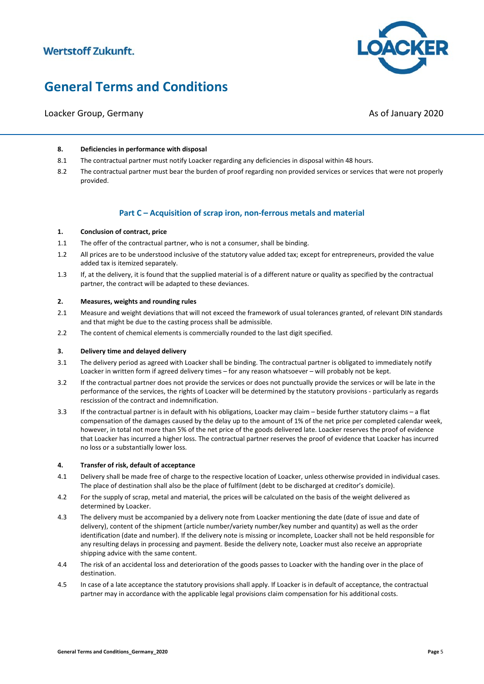

# **General Terms and Conditions**

### Loacker Group, Germany Associated and Loacker Group, Associated and Associated Associated Associated Associated Associated Associated Associated Associated Associated Associated Associated Associated Associated Associated

#### **8. Deficiencies in performance with disposal**

- 8.1 The contractual partner must notify Loacker regarding any deficiencies in disposal within 48 hours.
- 8.2 The contractual partner must bear the burden of proof regarding non provided services or services that were not properly provided.

#### **Part C – Acquisition of scrap iron, non-ferrous metals and material**

#### **1. Conclusion of contract, price**

- 1.1 The offer of the contractual partner, who is not a consumer, shall be binding.
- 1.2 All prices are to be understood inclusive of the statutory value added tax; except for entrepreneurs, provided the value added tax is itemized separately.
- 1.3 If, at the delivery, it is found that the supplied material is of a different nature or quality as specified by the contractual partner, the contract will be adapted to these deviances.

#### **2. Measures, weights and rounding rules**

- 2.1 Measure and weight deviations that will not exceed the framework of usual tolerances granted, of relevant DIN standards and that might be due to the casting process shall be admissible.
- 2.2 The content of chemical elements is commercially rounded to the last digit specified.

#### **3. Delivery time and delayed delivery**

- 3.1 The delivery period as agreed with Loacker shall be binding. The contractual partner is obligated to immediately notify Loacker in written form if agreed delivery times – for any reason whatsoever – will probably not be kept.
- 3.2 If the contractual partner does not provide the services or does not punctually provide the services or will be late in the performance of the services, the rights of Loacker will be determined by the statutory provisions - particularly as regards rescission of the contract and indemnification.
- 3.3 If the contractual partner is in default with his obligations, Loacker may claim beside further statutory claims a flat compensation of the damages caused by the delay up to the amount of 1% of the net price per completed calendar week, however, in total not more than 5% of the net price of the goods delivered late. Loacker reserves the proof of evidence that Loacker has incurred a higher loss. The contractual partner reserves the proof of evidence that Loacker has incurred no loss or a substantially lower loss.

#### **4. Transfer of risk, default of acceptance**

- 4.1 Delivery shall be made free of charge to the respective location of Loacker, unless otherwise provided in individual cases. The place of destination shall also be the place of fulfilment (debt to be discharged at creditor's domicile).
- 4.2 For the supply of scrap, metal and material, the prices will be calculated on the basis of the weight delivered as determined by Loacker.
- 4.3 The delivery must be accompanied by a delivery note from Loacker mentioning the date (date of issue and date of delivery), content of the shipment (article number/variety number/key number and quantity) as well as the order identification (date and number). If the delivery note is missing or incomplete, Loacker shall not be held responsible for any resulting delays in processing and payment. Beside the delivery note, Loacker must also receive an appropriate shipping advice with the same content.
- 4.4 The risk of an accidental loss and deterioration of the goods passes to Loacker with the handing over in the place of destination.
- 4.5 In case of a late acceptance the statutory provisions shall apply. If Loacker is in default of acceptance, the contractual partner may in accordance with the applicable legal provisions claim compensation for his additional costs.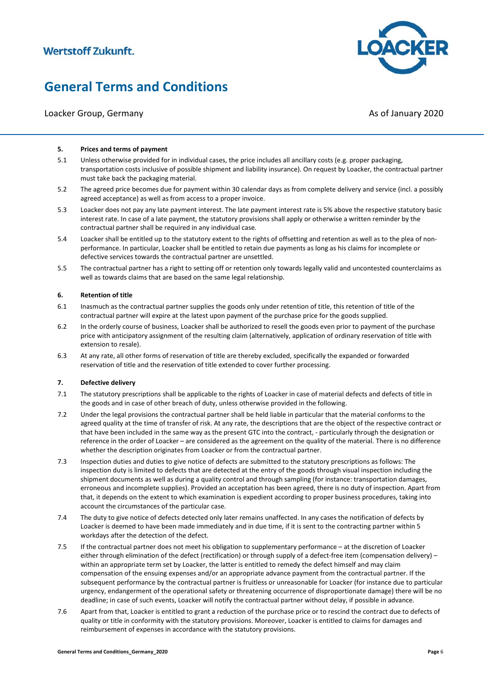### Loacker Group, Germany Associated and Loacker Group, Associated and Associated Associated Associated Associated Associated Associated Associated Associated Associated Associated Associated Associated Associated Associated

#### **5. Prices and terms of payment**

- 5.1 Unless otherwise provided for in individual cases, the price includes all ancillary costs (e.g. proper packaging, transportation costs inclusive of possible shipment and liability insurance). On request by Loacker, the contractual partner must take back the packaging material.
- 5.2 The agreed price becomes due for payment within 30 calendar days as from complete delivery and service (incl. a possibly agreed acceptance) as well as from access to a proper invoice.
- 5.3 Loacker does not pay any late payment interest. The late payment interest rate is 5% above the respective statutory basic interest rate. In case of a late payment, the statutory provisions shall apply or otherwise a written reminder by the contractual partner shall be required in any individual case.
- 5.4 Loacker shall be entitled up to the statutory extent to the rights of offsetting and retention as well as to the plea of nonperformance. In particular, Loacker shall be entitled to retain due payments as long as his claims for incomplete or defective services towards the contractual partner are unsettled.
- 5.5 The contractual partner has a right to setting off or retention only towards legally valid and uncontested counterclaims as well as towards claims that are based on the same legal relationship.

#### **6. Retention of title**

- 6.1 Inasmuch as the contractual partner supplies the goods only under retention of title, this retention of title of the contractual partner will expire at the latest upon payment of the purchase price for the goods supplied.
- 6.2 In the orderly course of business, Loacker shall be authorized to resell the goods even prior to payment of the purchase price with anticipatory assignment of the resulting claim (alternatively, application of ordinary reservation of title with extension to resale).
- 6.3 At any rate, all other forms of reservation of title are thereby excluded, specifically the expanded or forwarded reservation of title and the reservation of title extended to cover further processing.

#### **7. Defective delivery**

- 7.1 The statutory prescriptions shall be applicable to the rights of Loacker in case of material defects and defects of title in the goods and in case of other breach of duty, unless otherwise provided in the following.
- 7.2 Under the legal provisions the contractual partner shall be held liable in particular that the material conforms to the agreed quality at the time of transfer of risk. At any rate, the descriptions that are the object of the respective contract or that have been included in the same way as the present GTC into the contract, - particularly through the designation or reference in the order of Loacker – are considered as the agreement on the quality of the material. There is no difference whether the description originates from Loacker or from the contractual partner.
- 7.3 Inspection duties and duties to give notice of defects are submitted to the statutory prescriptions as follows: The inspection duty is limited to defects that are detected at the entry of the goods through visual inspection including the shipment documents as well as during a quality control and through sampling (for instance: transportation damages, erroneous and incomplete supplies). Provided an acceptation has been agreed, there is no duty of inspection. Apart from that, it depends on the extent to which examination is expedient according to proper business procedures, taking into account the circumstances of the particular case.
- 7.4 The duty to give notice of defects detected only later remains unaffected. In any cases the notification of defects by Loacker is deemed to have been made immediately and in due time, if it is sent to the contracting partner within 5 workdays after the detection of the defect.
- 7.5 If the contractual partner does not meet his obligation to supplementary performance at the discretion of Loacker either through elimination of the defect (rectification) or through supply of a defect-free item (compensation delivery) – within an appropriate term set by Loacker, the latter is entitled to remedy the defect himself and may claim compensation of the ensuing expenses and/or an appropriate advance payment from the contractual partner. If the subsequent performance by the contractual partner is fruitless or unreasonable for Loacker (for instance due to particular urgency, endangerment of the operational safety or threatening occurrence of disproportionate damage) there will be no deadline; in case of such events, Loacker will notify the contractual partner without delay, if possible in advance.
- 7.6 Apart from that, Loacker is entitled to grant a reduction of the purchase price or to rescind the contract due to defects of quality or title in conformity with the statutory provisions. Moreover, Loacker is entitled to claims for damages and reimbursement of expenses in accordance with the statutory provisions.

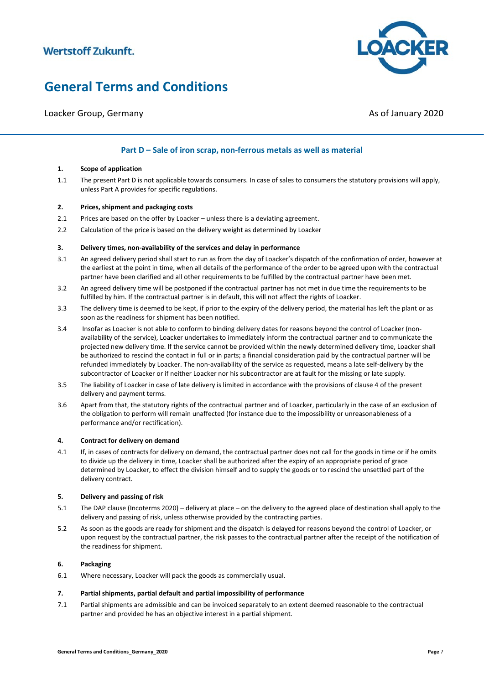

Loacker Group, Germany Associated and Loacker Group, Associated and Associated Associated Associated Associated Associated Associated Associated Associated Associated Associated Associated Associated Associated Associated

### **Part D – Sale of iron scrap, non-ferrous metals as well as material**

#### **1. Scope of application**

1.1 The present Part D is not applicable towards consumers. In case of sales to consumers the statutory provisions will apply, unless Part A provides for specific regulations.

#### **2. Prices, shipment and packaging costs**

- 2.1 Prices are based on the offer by Loacker unless there is a deviating agreement.
- 2.2 Calculation of the price is based on the delivery weight as determined by Loacker

#### **3. Delivery times, non-availability of the services and delay in performance**

- 3.1 An agreed delivery period shall start to run as from the day of Loacker's dispatch of the confirmation of order, however at the earliest at the point in time, when all details of the performance of the order to be agreed upon with the contractual partner have been clarified and all other requirements to be fulfilled by the contractual partner have been met.
- 3.2 An agreed delivery time will be postponed if the contractual partner has not met in due time the requirements to be fulfilled by him. If the contractual partner is in default, this will not affect the rights of Loacker.
- 3.3 The delivery time is deemed to be kept, if prior to the expiry of the delivery period, the material has left the plant or as soon as the readiness for shipment has been notified.
- 3.4 Insofar as Loacker is not able to conform to binding delivery dates for reasons beyond the control of Loacker (nonavailability of the service), Loacker undertakes to immediately inform the contractual partner and to communicate the projected new delivery time. If the service cannot be provided within the newly determined delivery time, Loacker shall be authorized to rescind the contact in full or in parts; a financial consideration paid by the contractual partner will be refunded immediately by Loacker. The non-availability of the service as requested, means a late self-delivery by the subcontractor of Loacker or if neither Loacker nor his subcontractor are at fault for the missing or late supply.
- 3.5 The liability of Loacker in case of late delivery is limited in accordance with the provisions of clause 4 of the present delivery and payment terms.
- 3.6 Apart from that, the statutory rights of the contractual partner and of Loacker, particularly in the case of an exclusion of the obligation to perform will remain unaffected (for instance due to the impossibility or unreasonableness of a performance and/or rectification).

#### **4. Contract for delivery on demand**

4.1 If, in cases of contracts for delivery on demand, the contractual partner does not call for the goods in time or if he omits to divide up the delivery in time, Loacker shall be authorized after the expiry of an appropriate period of grace determined by Loacker, to effect the division himself and to supply the goods or to rescind the unsettled part of the delivery contract.

#### **5. Delivery and passing of risk**

- 5.1 The DAP clause (Incoterms 2020) delivery at place on the delivery to the agreed place of destination shall apply to the delivery and passing of risk, unless otherwise provided by the contracting parties.
- 5.2 As soon as the goods are ready for shipment and the dispatch is delayed for reasons beyond the control of Loacker, or upon request by the contractual partner, the risk passes to the contractual partner after the receipt of the notification of the readiness for shipment.

#### **6. Packaging**

6.1 Where necessary, Loacker will pack the goods as commercially usual.

#### **7. Partial shipments, partial default and partial impossibility of performance**

7.1 Partial shipments are admissible and can be invoiced separately to an extent deemed reasonable to the contractual partner and provided he has an objective interest in a partial shipment.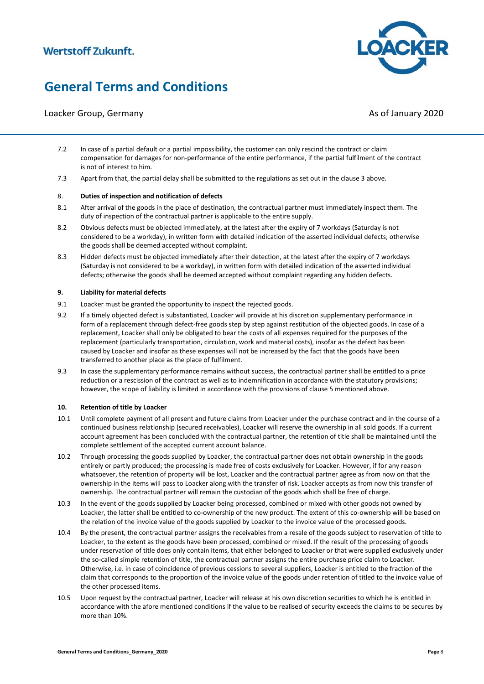Loacker Group, Germany Associated and Loacker Group, Associated and Associated Associated Associated Associated Associated Associated Associated Associated Associated Associated Associated Associated Associated Associated

- 7.2 In case of a partial default or a partial impossibility, the customer can only rescind the contract or claim compensation for damages for non-performance of the entire performance, if the partial fulfilment of the contract is not of interest to him.
- 7.3 Apart from that, the partial delay shall be submitted to the regulations as set out in the clause 3 above.

#### 8. **Duties of inspection and notification of defects**

- 8.1 After arrival of the goods in the place of destination, the contractual partner must immediately inspect them. The duty of inspection of the contractual partner is applicable to the entire supply.
- 8.2 Obvious defects must be objected immediately, at the latest after the expiry of 7 workdays (Saturday is not considered to be a workday), in written form with detailed indication of the asserted individual defects; otherwise the goods shall be deemed accepted without complaint.
- 8.3 Hidden defects must be objected immediately after their detection, at the latest after the expiry of 7 workdays (Saturday is not considered to be a workday), in written form with detailed indication of the asserted individual defects; otherwise the goods shall be deemed accepted without complaint regarding any hidden defects.

#### **9. Liability for material defects**

- 9.1 Loacker must be granted the opportunity to inspect the rejected goods.
- 9.2 If a timely objected defect is substantiated, Loacker will provide at his discretion supplementary performance in form of a replacement through defect-free goods step by step against restitution of the objected goods. In case of a replacement, Loacker shall only be obligated to bear the costs of all expenses required for the purposes of the replacement (particularly transportation, circulation, work and material costs), insofar as the defect has been caused by Loacker and insofar as these expenses will not be increased by the fact that the goods have been transferred to another place as the place of fulfilment.
- 9.3 In case the supplementary performance remains without success, the contractual partner shall be entitled to a price reduction or a rescission of the contract as well as to indemnification in accordance with the statutory provisions; however, the scope of liability is limited in accordance with the provisions of clause 5 mentioned above.

#### **10. Retention of title by Loacker**

- 10.1 Until complete payment of all present and future claims from Loacker under the purchase contract and in the course of a continued business relationship (secured receivables), Loacker will reserve the ownership in all sold goods. If a current account agreement has been concluded with the contractual partner, the retention of title shall be maintained until the complete settlement of the accepted current account balance.
- 10.2 Through processing the goods supplied by Loacker, the contractual partner does not obtain ownership in the goods entirely or partly produced; the processing is made free of costs exclusively for Loacker. However, if for any reason whatsoever, the retention of property will be lost, Loacker and the contractual partner agree as from now on that the ownership in the items will pass to Loacker along with the transfer of risk. Loacker accepts as from now this transfer of ownership. The contractual partner will remain the custodian of the goods which shall be free of charge.
- 10.3 In the event of the goods supplied by Loacker being processed, combined or mixed with other goods not owned by Loacker, the latter shall be entitled to co-ownership of the new product. The extent of this co-ownership will be based on the relation of the invoice value of the goods supplied by Loacker to the invoice value of the processed goods.
- 10.4 By the present, the contractual partner assigns the receivables from a resale of the goods subject to reservation of title to Loacker, to the extent as the goods have been processed, combined or mixed. If the result of the processing of goods under reservation of title does only contain items, that either belonged to Loacker or that were supplied exclusively under the so-called simple retention of title, the contractual partner assigns the entire purchase price claim to Loacker. Otherwise, i.e. in case of coincidence of previous cessions to several suppliers, Loacker is entitled to the fraction of the claim that corresponds to the proportion of the invoice value of the goods under retention of titled to the invoice value of the other processed items.
- 10.5 Upon request by the contractual partner, Loacker will release at his own discretion securities to which he is entitled in accordance with the afore mentioned conditions if the value to be realised of security exceeds the claims to be secures by more than 10%.